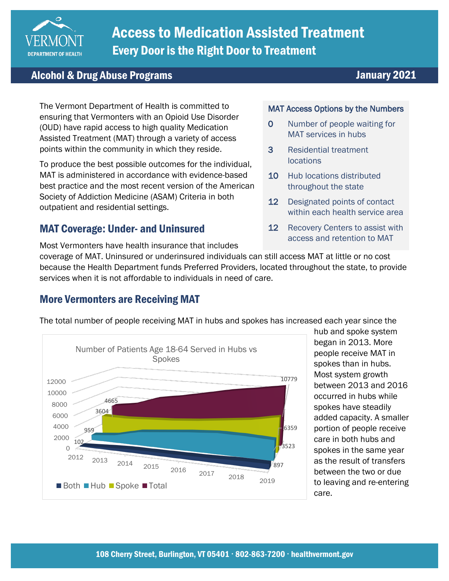

# Access to Medication Assisted Treatment Every Door is the Right Door to Treatment

## Alcohol & Drug Abuse Programs January 2021

The Vermont Department of Health is committed to ensuring that Vermonters with an Opioid Use Disorder (OUD) have rapid access to high quality Medication Assisted Treatment (MAT) through a variety of access points within the community in which they reside.

To produce the best possible outcomes for the individual, MAT is administered in accordance with evidence-based best practice and the most recent version of the American Society of Addiction Medicine (ASAM) Criteria in both outpatient and residential settings.

## MAT Coverage: Under- and Uninsured

### Most Vermonters have health insurance that includes

#### MAT Access Options by the Numbers

- 0 Number of people waiting for MAT services in hubs
- 3 Residential treatment locations
- 10 Hub locations distributed throughout the state
- 12 Designated points of contact within each health service area
- 12 Recovery Centers to assist with access and retention to MAT

coverage of MAT. Uninsured or underinsured individuals can still access MAT at little or no cost because the Health Department funds Preferred Providers, located throughout the state, to provide services when it is not affordable to individuals in need of care.

## More Vermonters are Receiving MAT



The total number of people receiving MAT in hubs and spokes has increased each year since the

hub and spoke system began in 2013. More people receive MAT in spokes than in hubs. Most system growth between 2013 and 2016 occurred in hubs while spokes have steadily added capacity. A smaller portion of people receive care in both hubs and spokes in the same year as the result of transfers between the two or due to leaving and re-entering care.